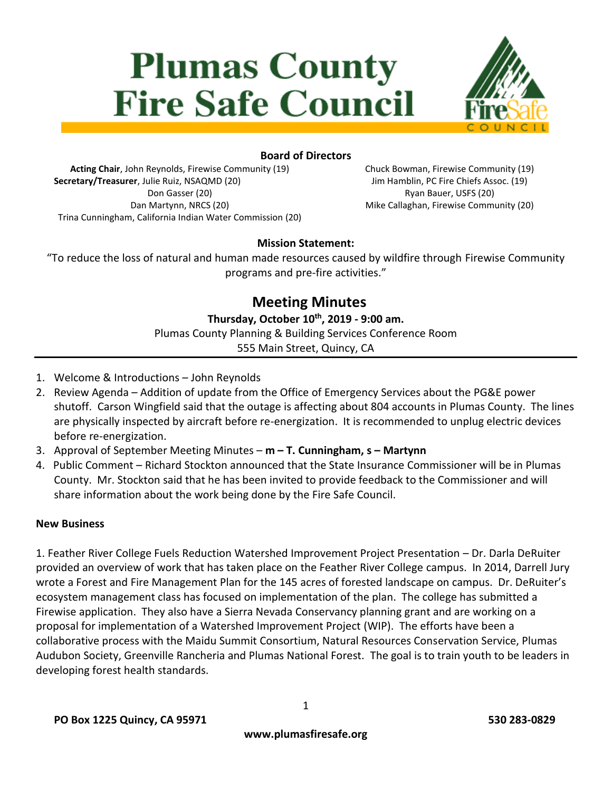# **Plumas County Fire Safe Council**



# **Board of Directors**

**Acting Chair**, John Reynolds, Firewise Community (19) **Secretary/Treasurer**, Julie Ruiz, NSAQMD (20) Don Gasser (20) Dan Martynn, NRCS (20) Trina Cunningham, California Indian Water Commission (20) Chuck Bowman, Firewise Community (19) Jim Hamblin, PC Fire Chiefs Assoc. (19) Ryan Bauer, USFS (20) Mike Callaghan, Firewise Community (20)

# **Mission Statement:**

"To reduce the loss of natural and human made resources caused by wildfire through Firewise Community programs and pre-fire activities."

> **Meeting Minutes Thursday, October 10 th, 2019 - 9:00 am.** Plumas County Planning & Building Services Conference Room 555 Main Street, Quincy, CA

- 1. Welcome & Introductions John Reynolds
- 2. Review Agenda Addition of update from the Office of Emergency Services about the PG&E power shutoff. Carson Wingfield said that the outage is affecting about 804 accounts in Plumas County. The lines are physically inspected by aircraft before re-energization. It is recommended to unplug electric devices before re-energization.
- 3. Approval of September Meeting Minutes **m – T. Cunningham, s – Martynn**
- 4. Public Comment Richard Stockton announced that the State Insurance Commissioner will be in Plumas County. Mr. Stockton said that he has been invited to provide feedback to the Commissioner and will share information about the work being done by the Fire Safe Council.

#### **New Business**

1. Feather River College Fuels Reduction Watershed Improvement Project Presentation – Dr. Darla DeRuiter provided an overview of work that has taken place on the Feather River College campus. In 2014, Darrell Jury wrote a Forest and Fire Management Plan for the 145 acres of forested landscape on campus. Dr. DeRuiter's ecosystem management class has focused on implementation of the plan. The college has submitted a Firewise application. They also have a Sierra Nevada Conservancy planning grant and are working on a proposal for implementation of a Watershed Improvement Project (WIP). The efforts have been a collaborative process with the Maidu Summit Consortium, Natural Resources Conservation Service, Plumas Audubon Society, Greenville Rancheria and Plumas National Forest. The goal is to train youth to be leaders in developing forest health standards.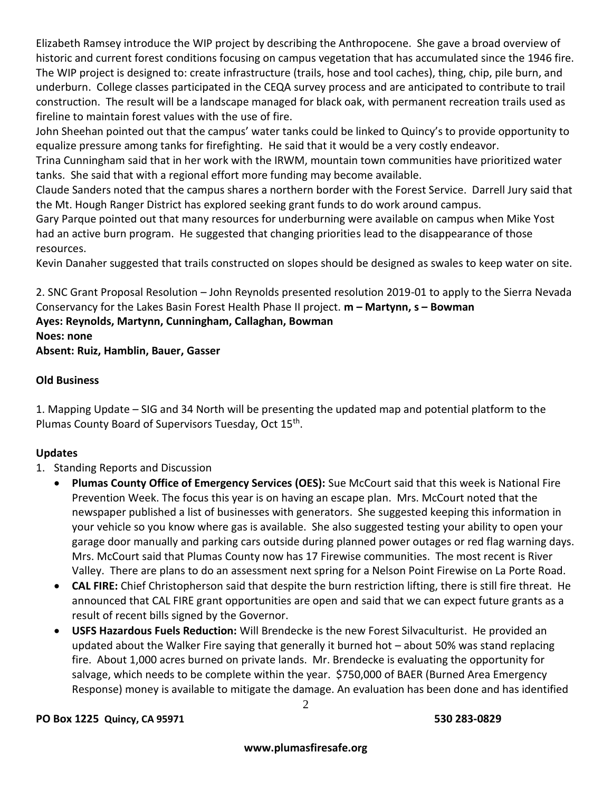Elizabeth Ramsey introduce the WIP project by describing the Anthropocene. She gave a broad overview of historic and current forest conditions focusing on campus vegetation that has accumulated since the 1946 fire. The WIP project is designed to: create infrastructure (trails, hose and tool caches), thing, chip, pile burn, and underburn. College classes participated in the CEQA survey process and are anticipated to contribute to trail construction. The result will be a landscape managed for black oak, with permanent recreation trails used as fireline to maintain forest values with the use of fire.

John Sheehan pointed out that the campus' water tanks could be linked to Quincy's to provide opportunity to equalize pressure among tanks for firefighting. He said that it would be a very costly endeavor.

Trina Cunningham said that in her work with the IRWM, mountain town communities have prioritized water tanks. She said that with a regional effort more funding may become available.

Claude Sanders noted that the campus shares a northern border with the Forest Service. Darrell Jury said that the Mt. Hough Ranger District has explored seeking grant funds to do work around campus.

Gary Parque pointed out that many resources for underburning were available on campus when Mike Yost had an active burn program. He suggested that changing priorities lead to the disappearance of those resources.

Kevin Danaher suggested that trails constructed on slopes should be designed as swales to keep water on site.

2. SNC Grant Proposal Resolution – John Reynolds presented resolution 2019-01 to apply to the Sierra Nevada Conservancy for the Lakes Basin Forest Health Phase II project. **m – Martynn, s – Bowman Ayes: Reynolds, Martynn, Cunningham, Callaghan, Bowman Noes: none**

**Absent: Ruiz, Hamblin, Bauer, Gasser**

# **Old Business**

1. Mapping Update – SIG and 34 North will be presenting the updated map and potential platform to the Plumas County Board of Supervisors Tuesday, Oct 15<sup>th</sup>.

# **Updates**

### 1. Standing Reports and Discussion

- **Plumas County Office of Emergency Services (OES):** Sue McCourt said that this week is National Fire Prevention Week. The focus this year is on having an escape plan. Mrs. McCourt noted that the newspaper published a list of businesses with generators. She suggested keeping this information in your vehicle so you know where gas is available. She also suggested testing your ability to open your garage door manually and parking cars outside during planned power outages or red flag warning days. Mrs. McCourt said that Plumas County now has 17 Firewise communities. The most recent is River Valley. There are plans to do an assessment next spring for a Nelson Point Firewise on La Porte Road.
- **CAL FIRE:** Chief Christopherson said that despite the burn restriction lifting, there is still fire threat. He announced that CAL FIRE grant opportunities are open and said that we can expect future grants as a result of recent bills signed by the Governor.
- **USFS Hazardous Fuels Reduction:** Will Brendecke is the new Forest Silvaculturist. He provided an updated about the Walker Fire saying that generally it burned hot – about 50% was stand replacing fire. About 1,000 acres burned on private lands. Mr. Brendecke is evaluating the opportunity for salvage, which needs to be complete within the year. \$750,000 of BAER (Burned Area Emergency Response) money is available to mitigate the damage. An evaluation has been done and has identified

### **PO Box 1225 Quincy, CA 95971 530 283-0829**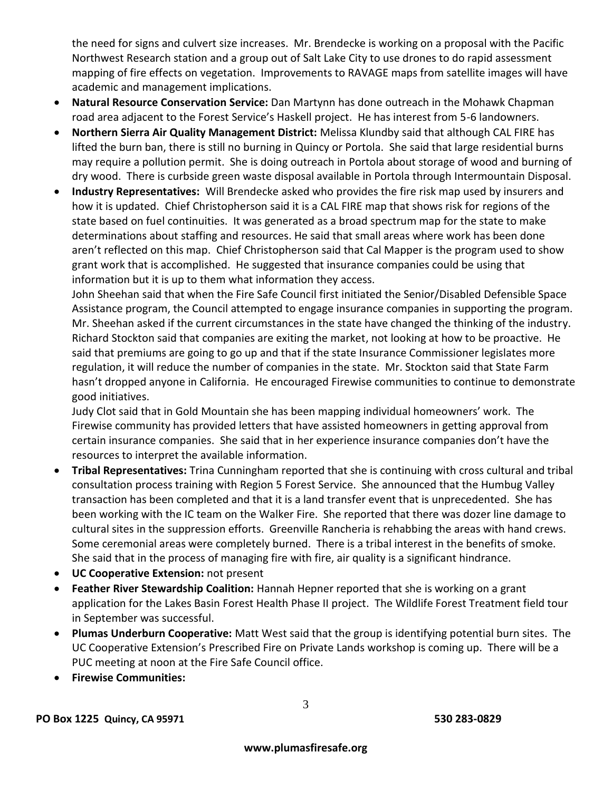the need for signs and culvert size increases. Mr. Brendecke is working on a proposal with the Pacific Northwest Research station and a group out of Salt Lake City to use drones to do rapid assessment mapping of fire effects on vegetation. Improvements to RAVAGE maps from satellite images will have academic and management implications.

- **Natural Resource Conservation Service:** Dan Martynn has done outreach in the Mohawk Chapman road area adjacent to the Forest Service's Haskell project. He has interest from 5-6 landowners.
- **Northern Sierra Air Quality Management District:** Melissa Klundby said that although CAL FIRE has lifted the burn ban, there is still no burning in Quincy or Portola. She said that large residential burns may require a pollution permit. She is doing outreach in Portola about storage of wood and burning of dry wood. There is curbside green waste disposal available in Portola through Intermountain Disposal.
- **Industry Representatives:** Will Brendecke asked who provides the fire risk map used by insurers and how it is updated. Chief Christopherson said it is a CAL FIRE map that shows risk for regions of the state based on fuel continuities. It was generated as a broad spectrum map for the state to make determinations about staffing and resources. He said that small areas where work has been done aren't reflected on this map. Chief Christopherson said that Cal Mapper is the program used to show grant work that is accomplished. He suggested that insurance companies could be using that information but it is up to them what information they access.

John Sheehan said that when the Fire Safe Council first initiated the Senior/Disabled Defensible Space Assistance program, the Council attempted to engage insurance companies in supporting the program. Mr. Sheehan asked if the current circumstances in the state have changed the thinking of the industry. Richard Stockton said that companies are exiting the market, not looking at how to be proactive. He said that premiums are going to go up and that if the state Insurance Commissioner legislates more regulation, it will reduce the number of companies in the state. Mr. Stockton said that State Farm hasn't dropped anyone in California. He encouraged Firewise communities to continue to demonstrate good initiatives.

Judy Clot said that in Gold Mountain she has been mapping individual homeowners' work. The Firewise community has provided letters that have assisted homeowners in getting approval from certain insurance companies. She said that in her experience insurance companies don't have the resources to interpret the available information.

- **Tribal Representatives:** Trina Cunningham reported that she is continuing with cross cultural and tribal consultation process training with Region 5 Forest Service. She announced that the Humbug Valley transaction has been completed and that it is a land transfer event that is unprecedented. She has been working with the IC team on the Walker Fire. She reported that there was dozer line damage to cultural sites in the suppression efforts. Greenville Rancheria is rehabbing the areas with hand crews. Some ceremonial areas were completely burned. There is a tribal interest in the benefits of smoke. She said that in the process of managing fire with fire, air quality is a significant hindrance.
- **UC Cooperative Extension:** not present
- **Feather River Stewardship Coalition:** Hannah Hepner reported that she is working on a grant application for the Lakes Basin Forest Health Phase II project. The Wildlife Forest Treatment field tour in September was successful.
- **Plumas Underburn Cooperative:** Matt West said that the group is identifying potential burn sites. The UC Cooperative Extension's Prescribed Fire on Private Lands workshop is coming up. There will be a PUC meeting at noon at the Fire Safe Council office.
- **Firewise Communities:**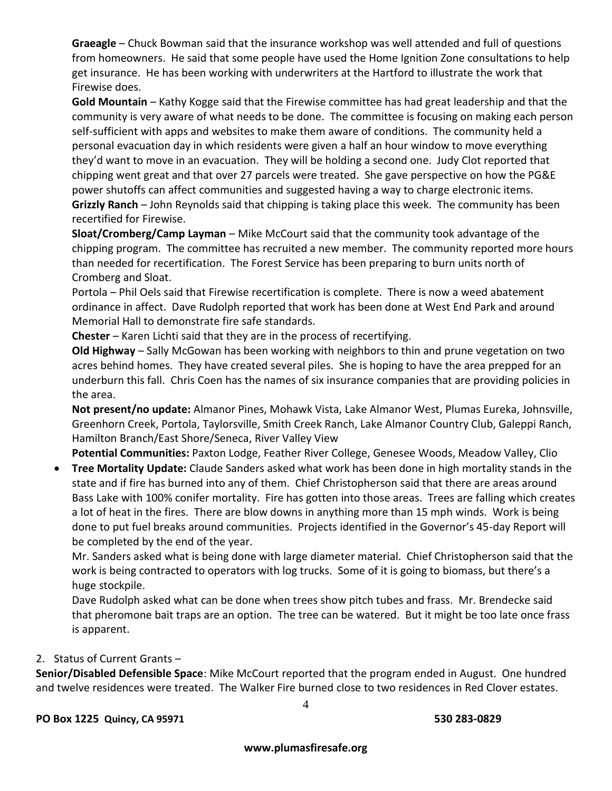**Graeagle** – Chuck Bowman said that the insurance workshop was well attended and full of questions from homeowners. He said that some people have used the Home Ignition Zone consultations to help get insurance. He has been working with underwriters at the Hartford to illustrate the work that Firewise does.

**Gold Mountain** – Kathy Kogge said that the Firewise committee has had great leadership and that the community is very aware of what needs to be done. The committee is focusing on making each person self-sufficient with apps and websites to make them aware of conditions. The community held a personal evacuation day in which residents were given a half an hour window to move everything they'd want to move in an evacuation. They will be holding a second one. Judy Clot reported that chipping went great and that over 27 parcels were treated. She gave perspective on how the PG&E power shutoffs can affect communities and suggested having a way to charge electronic items. **Grizzly Ranch** – John Reynolds said that chipping is taking place this week. The community has been recertified for Firewise.

**Sloat/Cromberg/Camp Layman** – Mike McCourt said that the community took advantage of the chipping program. The committee has recruited a new member. The community reported more hours than needed for recertification. The Forest Service has been preparing to burn units north of Cromberg and Sloat.

Portola – Phil Oels said that Firewise recertification is complete. There is now a weed abatement ordinance in affect. Dave Rudolph reported that work has been done at West End Park and around Memorial Hall to demonstrate fire safe standards.

**Chester** – Karen Lichti said that they are in the process of recertifying.

**Old Highway** – Sally McGowan has been working with neighbors to thin and prune vegetation on two acres behind homes. They have created several piles. She is hoping to have the area prepped for an underburn this fall. Chris Coen has the names of six insurance companies that are providing policies in the area.

**Not present/no update:** Almanor Pines, Mohawk Vista, Lake Almanor West, Plumas Eureka, Johnsville, Greenhorn Creek, Portola, Taylorsville, Smith Creek Ranch, Lake Almanor Country Club, Galeppi Ranch, Hamilton Branch/East Shore/Seneca, River Valley View

**Potential Communities:** Paxton Lodge, Feather River College, Genesee Woods, Meadow Valley, Clio

 **Tree Mortality Update:** Claude Sanders asked what work has been done in high mortality stands in the state and if fire has burned into any of them. Chief Christopherson said that there are areas around Bass Lake with 100% conifer mortality. Fire has gotten into those areas. Trees are falling which creates a lot of heat in the fires. There are blow downs in anything more than 15 mph winds. Work is being done to put fuel breaks around communities. Projects identified in the Governor's 45-day Report will be completed by the end of the year.

Mr. Sanders asked what is being done with large diameter material. Chief Christopherson said that the work is being contracted to operators with log trucks. Some of it is going to biomass, but there's a huge stockpile.

Dave Rudolph asked what can be done when trees show pitch tubes and frass. Mr. Brendecke said that pheromone bait traps are an option. The tree can be watered. But it might be too late once frass is apparent.

### 2. Status of Current Grants –

**Senior/Disabled Defensible Space**: Mike McCourt reported that the program ended in August. One hundred and twelve residences were treated. The Walker Fire burned close to two residences in Red Clover estates.